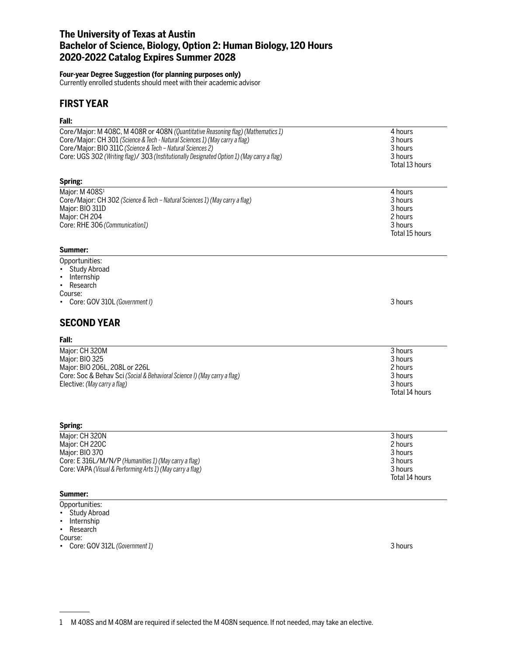## **The University of Texas at Austin Bachelor of Science, Biology, Option 2: Human Biology, 120 Hours 2020-2022 Catalog Expires Summer 2028**

#### **Four-year Degree Suggestion (for planning purposes only)**

Currently enrolled students should meet with their academic advisor

## **FIRST YEAR**

# **Fall:**

| Fall:                                                                                                                                                                                                                                                                                                                       |                                                                       |
|-----------------------------------------------------------------------------------------------------------------------------------------------------------------------------------------------------------------------------------------------------------------------------------------------------------------------------|-----------------------------------------------------------------------|
| Core/Major: M 408C, M 408R or 408N (Quantitative Reasoning flag) (Mathematics 1)<br>Core/Major: CH 301 (Science & Tech - Natural Sciences 1) (May carry a flag)<br>Core/Major: BIO 311C (Science & Tech - Natural Sciences 2)<br>Core: UGS 302 (Writing flag)/ 303 (Institutionally Designated Option 1) (May carry a flag) | 4 hours<br>3 hours<br>3 hours<br>3 hours<br>Total 13 hours            |
| Spring:                                                                                                                                                                                                                                                                                                                     |                                                                       |
| Major: M 408S1<br>Core/Major: CH 302 (Science & Tech - Natural Sciences 1) (May carry a flag)<br>Major: BIO 311D<br>Major: CH 204<br>Core: RHE 306 (Communication1)<br>Summer:                                                                                                                                              | 4 hours<br>3 hours<br>3 hours<br>2 hours<br>3 hours<br>Total 15 hours |
| Opportunities:                                                                                                                                                                                                                                                                                                              |                                                                       |
| <b>Study Abroad</b><br>Internship<br>Research<br>$\bullet$<br>Course:<br>Core: GOV 310L (Government I)                                                                                                                                                                                                                      | 3 hours                                                               |
| <b>SECOND YEAR</b>                                                                                                                                                                                                                                                                                                          |                                                                       |
| Fall:                                                                                                                                                                                                                                                                                                                       |                                                                       |
| Major: CH 320M<br>Major: BIO 325<br>Major: BIO 206L, 208L or 226L<br>Core: Soc & Behav Sci (Social & Behavioral Science I) (May carry a flag)<br>Elective: (May carry a flag)                                                                                                                                               | 3 hours<br>3 hours<br>2 hours<br>3 hours<br>3 hours<br>Total 14 hours |
| Spring:                                                                                                                                                                                                                                                                                                                     |                                                                       |
| Major: CH 320N<br>Major: CH 220C<br>Major: BIO 370<br>Core: E 316L/M/N/P (Humanities 1) (May carry a flag)<br>Core: VAPA (Visual & Performing Arts 1) (May carry a flag)                                                                                                                                                    | 3 hours<br>2 hours<br>3 hours<br>3 hours<br>3 hours<br>Total 14 hours |

### **Summer:**

- Opportunities:
- Study Abroad • Internship
- Research

Course:

• Core: GOV 312L *(Government 1)* 3 hours

<sup>1</sup> M 408S and M 408M are required if selected the M 408N sequence. If not needed, may take an elective.